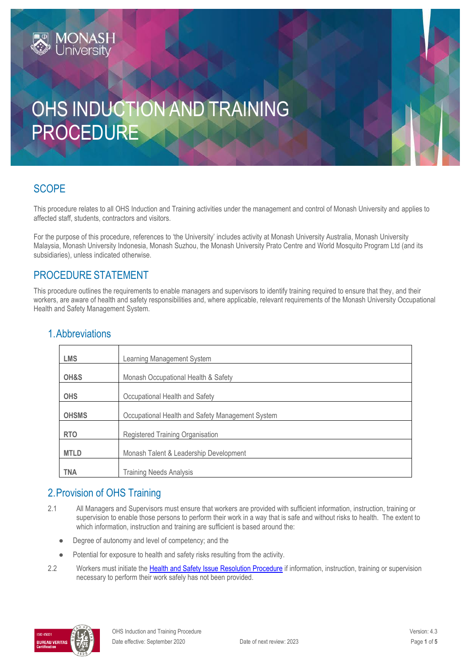# OHS INDUCTION AND TRAINING PROCEDURE

# **SCOPE**

This procedure relates to all OHS Induction and Training activities under the management and control of Monash University and applies to affected staff, students, contractors and visitors.

For the purpose of this procedure, references to 'the University' includes activity at Monash University Australia, Monash University Malaysia, Monash University Indonesia, Monash Suzhou, the Monash University Prato Centre and World Mosquito Program Ltd (and its subsidiaries), unless indicated otherwise.

#### PROCEDURE STATEMENT

This procedure outlines the requirements to enable managers and supervisors to identify training required to ensure that they, and their workers, are aware of health and safety responsibilities and, where applicable, relevant requirements of the Monash University Occupational Health and Safety Management System.

| <b>LMS</b>   | Learning Management System                       |  |
|--------------|--------------------------------------------------|--|
| OH&S         | Monash Occupational Health & Safety              |  |
| <b>OHS</b>   | Occupational Health and Safety                   |  |
| <b>OHSMS</b> | Occupational Health and Safety Management System |  |
| <b>RTO</b>   | Registered Training Organisation                 |  |
| <b>MTLD</b>  | Monash Talent & Leadership Development           |  |
| <b>TNA</b>   | <b>Training Needs Analysis</b>                   |  |

#### 1.Abbreviations

## 2.Provision of OHS Training

- 2.1 All Managers and Supervisors must ensure that workers are provided with sufficient information, instruction, training or supervision to enable those persons to perform their work in a way that is safe and without risks to health. The extent to which information, instruction and training are sufficient is based around the:
	- Degree of autonomy and level of competency; and the
	- Potential for exposure to health and safety risks resulting from the activity.
- 2.2 Workers must initiate the [Health and Safety Issue Resolution Procedure](https://publicpolicydms.monash.edu/Monash/documents/1935619) if information, instruction, training or supervision necessary to perform their work safely has not been provided.

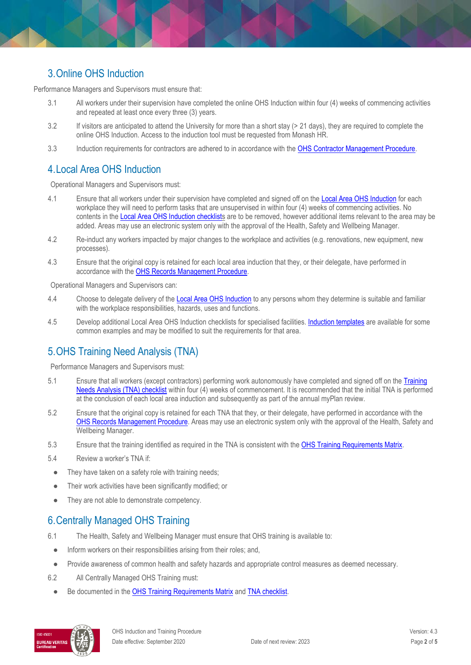# 3.Online OHS Induction

Performance Managers and Supervisors must ensure that:

- 3.1 All workers under their supervision have completed the online OHS Induction within four (4) weeks of commencing activities and repeated at least once every three (3) years.
- 3.2 If visitors are anticipated to attend the University for more than a short stay (> 21 days), they are required to complete the online OHS Induction. Access to the induction tool must be requested from Monash HR.
- 3.3 Induction requirements for contractors are adhered to in accordance with the [OHS Contractor Management Procedure.](https://publicpolicydms.monash.edu/Monash/documents/1935599)

## 4.Local Area OHS Induction

Operational Managers and Supervisors must:

- 4.1 Ensure that all workers under their supervision have completed and signed off on th[e Local Area OHS Induction](https://www.monash.edu/ohs/induction-training/local-area-induction) for each workplace they will need to perform tasks that are unsupervised in within four (4) weeks of commencing activities. No contents in the [Local Area OHS Induction checklists](https://www.monash.edu/ohs/induction-training/local-area-induction) are to be removed, however additional items relevant to the area may be added. Areas may use an electronic system only with the approval of the Health, Safety and Wellbeing Manager.
- 4.2 Re-induct any workers impacted by major changes to the workplace and activities (e.g. renovations, new equipment, new processes).
- 4.3 Ensure that the original copy is retained for each local area induction that they, or their delegate, have performed in accordance with the [OHS Records Management Procedure.](https://publicpolicydms.monash.edu/Monash/documents/1935642)

Operational Managers and Supervisors can:

- 4.4 Choose to delegate delivery of the [Local Area OHS Induction](https://www.monash.edu/ohs/induction-training/local-area-induction) to any persons whom they determine is suitable and familiar with the workplace responsibilities, hazards, uses and functions.
- 4.5 Develop additional Local Area OHS Induction checklists for specialised facilities[. Induction templates](https://www.monash.edu/ohs/induction-training/local-area-induction) are available for some common examples and may be modified to suit the requirements for that area.

# 5.OHS Training Need Analysis (TNA)

Performance Managers and Supervisors must:

- 5.1 Ensure that all workers (except contractors) performing work autonomously have completed and signed off on th[e Training](https://www.monash.edu/__data/assets/word_doc/0004/2351056/Training-Needs-Analysis-Checklist.docx)  [Needs Analysis \(TNA\) checklist](https://www.monash.edu/__data/assets/word_doc/0004/2351056/Training-Needs-Analysis-Checklist.docx) within four (4) weeks of commencement. It is recommended that the initial TNA is performed at the conclusion of each local area induction and subsequently as part of the annual myPlan review.
- 5.2 Ensure that the original copy is retained for each TNA that they, or their delegate, have performed in accordance with the [OHS Records Management Procedure.](https://publicpolicydms.monash.edu/Monash/documents/1935642) Areas may use an electronic system only with the approval of the Health, Safety and Wellbeing Manager.
- 5.3 Ensure that the training identified as required in the TNA is consistent with the [OHS Training Requirements Matrix.](https://www.monash.edu/__data/assets/pdf_file/0004/496030/ohs-training-guide.pdf)
- 5.4 Review a worker's TNA if:
	- They have taken on a safety role with training needs;
	- Their work activities have been significantly modified; or
- They are not able to demonstrate competency.

## 6.Centrally Managed OHS Training

- 6.1 The Health, Safety and Wellbeing Manager must ensure that OHS training is available to:
- Inform workers on their responsibilities arising from their roles; and,
- Provide awareness of common health and safety hazards and appropriate control measures as deemed necessary.
- 6.2 All Centrally Managed OHS Training must:
	- Be documented in the **OHS Training Requirements Matrix** and **TNA checklist**.

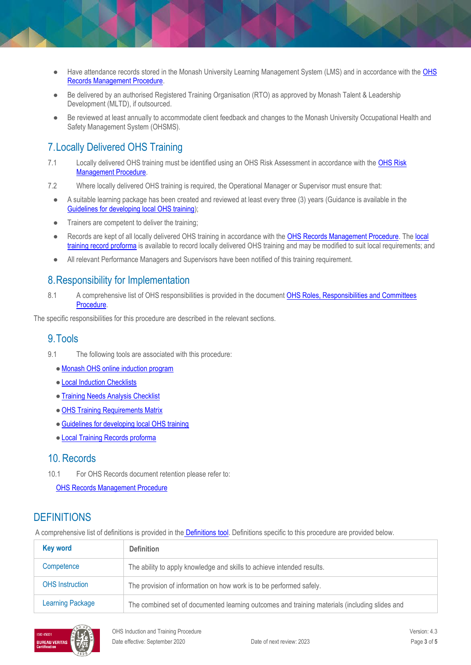- Have attendance records stored in the Monash University Learning Management System (LMS) and in accordance with the OHS [Records Management Procedure.](https://publicpolicydms.monash.edu/Monash/documents/1935642)
- Be delivered by an authorised Registered Training Organisation (RTO) as approved by Monash Talent & Leadership Development (MLTD), if outsourced.
- Be reviewed at least annually to accommodate client feedback and changes to the Monash University Occupational Health and Safety Management System (OHSMS).

# 7.Locally Delivered OHS Training

- 7.1 Locally delivered OHS training must be identified using an OHS Risk Assessment in accordance with the [OHS Risk](https://publicpolicydms.monash.edu/Monash/documents/1935636)  [Management Procedure.](https://publicpolicydms.monash.edu/Monash/documents/1935636)
- 7.2 Where locally delivered OHS training is required, the Operational Manager or Supervisor must ensure that:
	- A suitable learning package has been created and reviewed at least every three (3) years (Guidance is available in the [Guidelines for developing local OHS training\)](https://www.monash.edu/__data/assets/pdf_file/0017/2351024/Guidelines-for-Developing-Local-OHS-Training.pdf);
	- Trainers are competent to deliver the training;
	- Records are kept of all locally delivered OHS training in accordance with the [OHS Records Management Procedure.](https://publicpolicydms.monash.edu/Monash/documents/1935642) The local [training record proforma](https://www.monash.edu/__data/assets/word_doc/0011/1621847/Local-training-records-proforma.docx) is available to record locally delivered OHS training and may be modified to suit local requirements; and
	- All relevant Performance Managers and Supervisors have been notified of this training requirement.

#### 8.Responsibility for Implementation

8.1 A comprehensive list of OHS responsibilities is provided in the document OHS Roles, Responsibilities and Committees [Procedure.](https://publicpolicydms.monash.edu/Monash/documents/1935644)

The specific responsibilities for this procedure are described in the relevant sections.

#### 9.Tools

- 9.1 The following tools are associated with this procedure:
	- [Monash OHS online induction program](https://www.monash.edu/ohs/induction-training/staff-ohs-induction-portal)
	- [Local Induction Checklists](https://www.monash.edu/ohs/induction-training/local-area-induction)
	- [Training Needs Analysis Checklist](https://www.monash.edu/__data/assets/word_doc/0004/2351056/Training-Needs-Analysis-Checklist.docx)
	- [OHS Training Requirements Matrix](https://www.monash.edu/__data/assets/pdf_file/0004/496030/ohs-training-guide.pdf)
	- ●[Guidelines for developing local OHS training](https://www.monash.edu/__data/assets/pdf_file/0017/2351024/Guidelines-for-Developing-Local-OHS-Training.pdf)
	- [Local Training Records proforma](https://www.monash.edu/__data/assets/word_doc/0011/1621847/Local-training-records-proforma.docx)

#### 10. Records

10.1 For OHS Records document retention please refer to:

[OHS Records Management Procedure](https://publicpolicydms.monash.edu/Monash/documents/1935642) 

#### **DEFINITIONS**

A comprehensive list of definitions is provided in the [Definitions tool.](http://www.monash.edu/__data/assets/pdf_file/0018/113742/ohs-document-definitions.pdf) Definitions specific to this procedure are provided below.

| <b>Key word</b>         | <b>Definition</b>                                                                             |  |
|-------------------------|-----------------------------------------------------------------------------------------------|--|
| Competence              | The ability to apply knowledge and skills to achieve intended results.                        |  |
| <b>OHS</b> Instruction  | The provision of information on how work is to be performed safely.                           |  |
| <b>Learning Package</b> | The combined set of documented learning outcomes and training materials (including slides and |  |

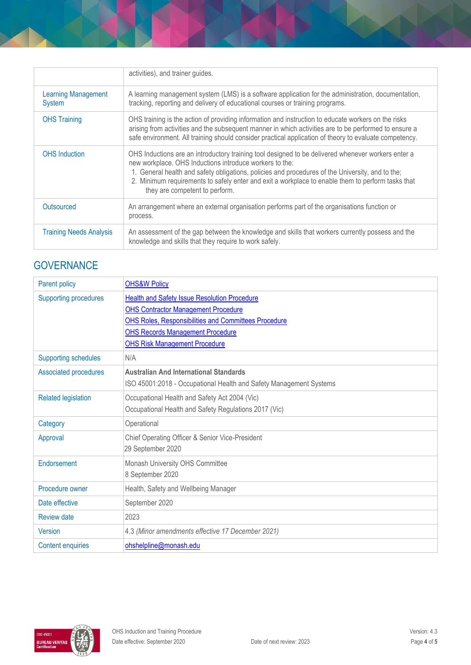|                                      | activities), and trainer guides.                                                                                                                                                                                                                                                                                                                                                                         |  |
|--------------------------------------|----------------------------------------------------------------------------------------------------------------------------------------------------------------------------------------------------------------------------------------------------------------------------------------------------------------------------------------------------------------------------------------------------------|--|
| <b>Learning Management</b><br>System | A learning management system (LMS) is a software application for the administration, documentation,<br>tracking, reporting and delivery of educational courses or training programs.                                                                                                                                                                                                                     |  |
| <b>OHS Training</b>                  | OHS training is the action of providing information and instruction to educate workers on the risks<br>arising from activities and the subsequent manner in which activities are to be performed to ensure a<br>safe environment. All training should consider practical application of theory to evaluate competency.                                                                                   |  |
| <b>OHS</b> Induction                 | OHS Inductions are an introductory training tool designed to be delivered whenever workers enter a<br>new workplace. OHS Inductions introduce workers to the:<br>1. General health and safety obligations, policies and procedures of the University, and to the;<br>2. Minimum requirements to safely enter and exit a workplace to enable them to perform tasks that<br>they are competent to perform. |  |
| Outsourced                           | An arrangement where an external organisation performs part of the organisations function or<br>process.                                                                                                                                                                                                                                                                                                 |  |
| <b>Training Needs Analysis</b>       | An assessment of the gap between the knowledge and skills that workers currently possess and the<br>knowledge and skills that they require to work safely.                                                                                                                                                                                                                                               |  |

# **GOVERNANCE**

| Parent policy                | <b>OHS&amp;W Policy</b>                                            |  |
|------------------------------|--------------------------------------------------------------------|--|
| <b>Supporting procedures</b> | <b>Health and Safety Issue Resolution Procedure</b>                |  |
|                              | <b>OHS Contractor Management Procedure</b>                         |  |
|                              | <b>OHS Roles, Responsibilities and Committees Procedure</b>        |  |
|                              | <b>OHS Records Management Procedure</b>                            |  |
|                              | <b>OHS Risk Management Procedure</b>                               |  |
| <b>Supporting schedules</b>  | N/A                                                                |  |
| Associated procedures        | <b>Australian And International Standards</b>                      |  |
|                              | ISO 45001:2018 - Occupational Health and Safety Management Systems |  |
| <b>Related legislation</b>   | Occupational Health and Safety Act 2004 (Vic)                      |  |
|                              | Occupational Health and Safety Regulations 2017 (Vic)              |  |
| Category                     | Operational                                                        |  |
| Approval                     | Chief Operating Officer & Senior Vice-President                    |  |
|                              | 29 September 2020                                                  |  |
| Endorsement                  | Monash University OHS Committee                                    |  |
|                              | 8 September 2020                                                   |  |
| Procedure owner              | Health, Safety and Wellbeing Manager                               |  |
| Date effective               | September 2020                                                     |  |
| <b>Review date</b>           | 2023                                                               |  |
| <b>Version</b>               | 4.3 (Minor amendments effective 17 December 2021)                  |  |
| <b>Content enquiries</b>     | ohshelpline@monash.edu                                             |  |